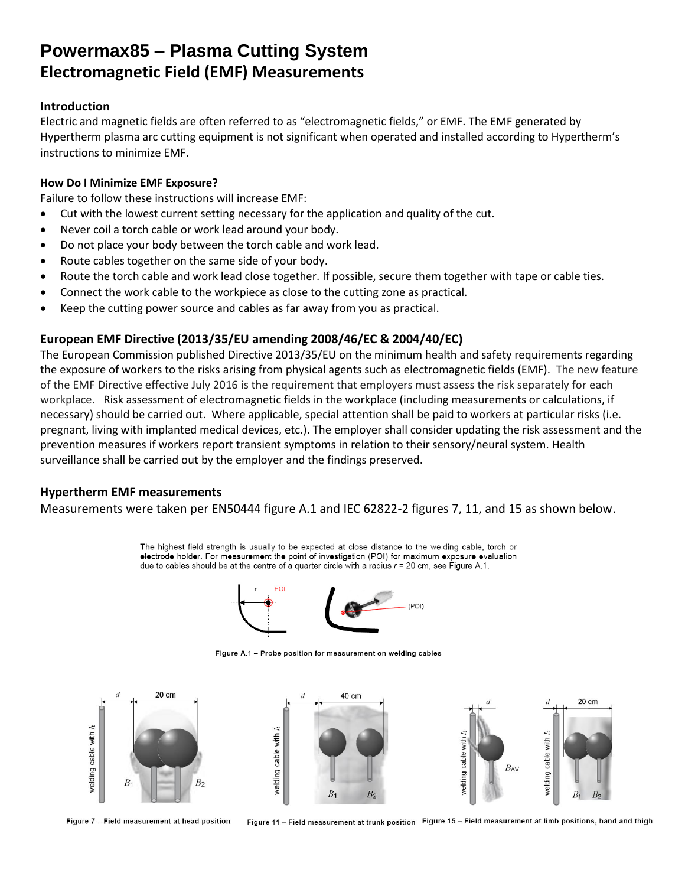## **Powermax85 – Plasma Cutting System Electromagnetic Field (EMF) Measurements**

### **Introduction**

Electric and magnetic fields are often referred to as "electromagnetic fields," or EMF. The EMF generated by Hypertherm plasma arc cutting equipment is not significant when operated and installed according to Hypertherm's instructions to minimize EMF.

### **How Do I Minimize EMF Exposure?**

Failure to follow these instructions will increase EMF:

- Cut with the lowest current setting necessary for the application and quality of the cut.
- Never coil a torch cable or work lead around your body.
- Do not place your body between the torch cable and work lead.
- Route cables together on the same side of your body.
- Route the torch cable and work lead close together. If possible, secure them together with tape or cable ties.
- Connect the work cable to the workpiece as close to the cutting zone as practical.
- Keep the cutting power source and cables as far away from you as practical.

## **European EMF Directive (2013/35/EU amending 2008/46/EC & 2004/40/EC)**

The European Commission published Directive 2013/35/EU on the minimum health and safety requirements regarding the exposure of workers to the risks arising from physical agents such as electromagnetic fields (EMF). The new feature of the EMF Directive effective July 2016 is the requirement that employers must assess the risk separately for each workplace. Risk assessment of electromagnetic fields in the workplace (including measurements or calculations, if necessary) should be carried out. Where applicable, special attention shall be paid to workers at particular risks (i.e. pregnant, living with implanted medical devices, etc.). The employer shall consider updating the risk assessment and the prevention measures if workers report transient symptoms in relation to their sensory/neural system. Health surveillance shall be carried out by the employer and the findings preserved.

## **Hypertherm EMF measurements**

Measurements were taken per EN50444 figure A.1 and IEC 62822-2 figures 7, 11, and 15 as shown below.

The highest field strength is usually to be expected at close distance to the welding cable, torch or electrode holder. For measurement the point of investigation (POI) for maximum exposure evaluation due to cables should be at the centre of a quarter circle with a radius  $r = 20$  cm, see Figure A.1.



Figure A.1 - Probe position for measurement on welding cables



Figure 7 - Field measurement at head position

Figure 11 - Field measurement at trunk position Figure 15 - Field measurement at limb positions, hand and thigh